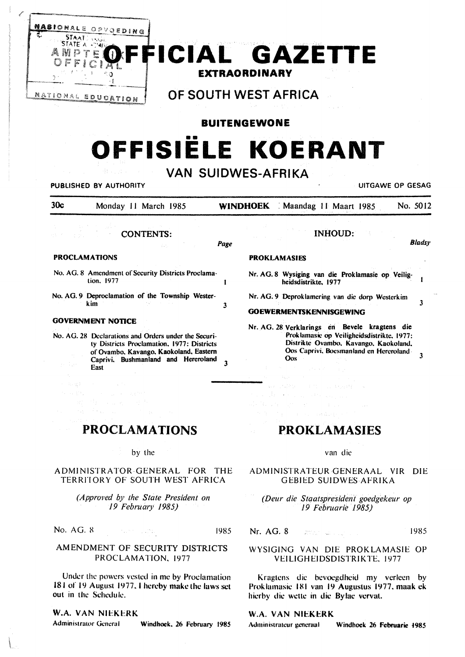

**BUITENGEWONE** 

# OFFISIELE KOERANT

## VAN SHIDWES AFRIKA

| YAN JUIDIVLU-ALIIINA<br>UITGAWE OP GESAG<br><b>PUBLISHED BY AUTHORITY</b> |                                                                                                                                                                                                                                                                                   |      |                                                                                                                                                                                                                                                                                 |               |
|---------------------------------------------------------------------------|-----------------------------------------------------------------------------------------------------------------------------------------------------------------------------------------------------------------------------------------------------------------------------------|------|---------------------------------------------------------------------------------------------------------------------------------------------------------------------------------------------------------------------------------------------------------------------------------|---------------|
| 30c                                                                       | Monday 11 March 1985                                                                                                                                                                                                                                                              |      | Maandag 11 Maart 1985<br><b>WINDHOEK</b>                                                                                                                                                                                                                                        | No. 5012      |
|                                                                           | <b>CONTENTS:</b><br>$\hat{J}$ , $\hat{J}$ ,                                                                                                                                                                                                                                       | Page | <b>INHOUD:</b>                                                                                                                                                                                                                                                                  | <b>Bladsy</b> |
| <b>PROCLAMATIONS</b>                                                      |                                                                                                                                                                                                                                                                                   |      | <b>PROKLAMASIES</b>                                                                                                                                                                                                                                                             |               |
|                                                                           | No. AG. 8 Amendment of Security Districts Proclama-<br>tion. 1977                                                                                                                                                                                                                 |      | Nr. AG. 8 Wysiging van die Proklamasie op Veilig-<br>heidsdistrikte. 1977                                                                                                                                                                                                       |               |
|                                                                           | No. AG. 9 Deproclamation of the Township Wester-<br>kim                                                                                                                                                                                                                           | 3    | Nr. AG. 9 Deproklamering van die dorp Westerkim<br><b>GOEWERMENTSKENNISGEWING</b>                                                                                                                                                                                               | 3             |
| 经一般公益率<br>化四氯 经纪                                                          | <b>GOVERNMENT NOTICE</b><br>No. AG, 28 Declarations and Orders under the Securi-<br>ty Districts Proclamation, 1977: Districts<br>of Ovambo, Kavango, Kaokoland, Eastern<br>Caprivi. Bushmanland and Hereroland<br>East<br>control of the control of the con-<br>RT 作用 (A) RT (子) | 3    | Nr. AG. 28 Verklarings en Bevele kragtens die<br>Proklamasie op Veiligheidsdistrikte, 1977:<br>Distrikte Ovambo, Kavango, Kaokoland,<br>Oos Caprivi, Boesmanland en Hereroland<br><b>Oos</b><br><b>SAME CONSTRAINER</b><br>be a complete and mo<br><b>Kanada Sunday Service</b> |               |

## **PROCLAMATIONS**

by the

## ADMINISTRATOR-GENERAL FOR THE TERRITORY OF SOUTH WEST AFRICA

(Approved by the State President on 19 February 1985)

No. AG. 8

1985

## AMENDMENT OF SECURITY DISTRICTS PROCLAMATION, 1977

 $\label{eq:1.1} \mathcal{P}_{\mathcal{A}}(x)=\frac{1}{2}\sum_{\mathbf{r}\in\mathcal{A}}\frac{(\mathbf{r}-\mathbf{r})^2}{\mathbf{r}-\mathbf{r}}\left(\mathbf{r}-\mathbf{r}\right)\frac{(\mathbf{r}-\mathbf{r})^2}{\mathbf{r}-\mathbf{r}}\mathbf{r}\,.$ 

Under the powers vested in me by Proclamation 181 of 19 August 1977, I hereby make the laws set out in the Schedule.

## W.A. VAN NIEKERK

**Administrator General** 

Windhoek. 26 February 1985

# **PROKLAMASIES**

van die

ADMINISTRATEUR GENERAAL VIR DIE **GEBIED SUIDWES AFRIKA** 

(Deur die Staatspresident goedgekeur op 19 Februarie 1985)

Nr. AG. 8 1985  $\left\langle \frac{\partial \rho_{\theta}(\omega)}{\partial \tau} \right\rangle_{\theta} = \left\langle \frac{\partial}{\partial \tau} \right\rangle_{\theta} = \left\langle \frac{\partial}{\partial \tau} \right\rangle_{\theta} = \left\langle \frac{\partial}{\partial \tau} \right\rangle_{\theta} = \left\langle \frac{\partial}{\partial \tau} \right\rangle_{\theta}$ 

WYSIGING VAN DIE PROKLAMASIE OP VEILIGHEIDSDISTRIKTE, 1977

Kragtens die bevoegdheid my verleen by Proklamasic 181 van 19 Augustus 1977, maak ek hierby die wette in die Bylae vervat.

## W.A. VAN NIEKERK

Administrateur generaal Windhoek 26 Februarie 1985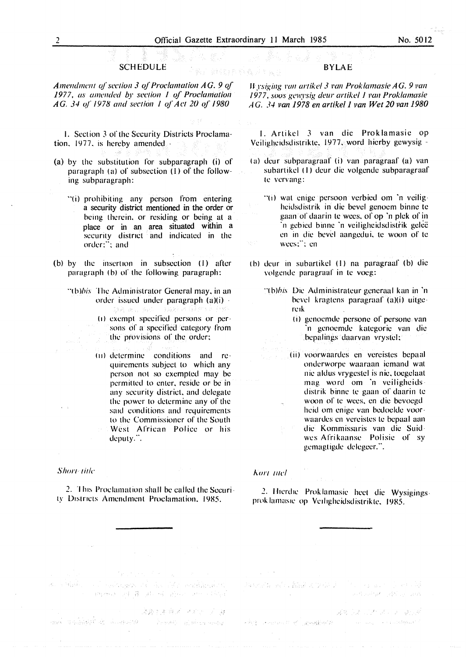## **SCHEDULE**

*Amendment of section 3 of Proclamation AG. 9 of* 1977, as amended by section 1 of Proclamation *AG. 34 of 1978 and section 1 of Act 20 of 1980* 

1. Section 3 of the Security Districts Proclamation. 1977. is hereby amended -

- (a) by the substitution for subparagraph (i) of paragraph (a) of subsection (I) of the following subparagraph:
	- "(i) prohibiting any person from entering a security district mentioned in the order or being therein. or residing or being at a place or in an area situated within a security district and indicated in the  $order:$ : and
- (b) by the insertion in subsection (I) after paragraph (b) of the following paragraph:
	- "(b)*bis* The Administrator General may, in an order issued under paragraph  $(a)(i)$ .
		- ( $1$ ) exempt specified persons or persons of a specified category from the provisions of the order;
		- $(11)$  determine conditions and requirements subject to which any person not so exempted may be permitted to enter. reside or be in any security district. and delegate the power lo determine any of the said conditions and requirements to the Commissioner of the South West African Police or his deputy.".

#### Short title

an a Sipping

2. This Proclamation shall be called the Security Districts Amendment Proclamation, 1985.

## BYLAE

*H rsiging van artikel 3 van Proklamasie AG. 9 van* 1977, soos gewysig deur artikel I van Proklamasie *AG. 34 van 1978 en artikel 1 van Wet 20 van 1980* 

I. Artikel 3 van die Proklamasic op Veiligheidsdistrikte. 1977. word hierby gewysig -

- (a) deur subparagraaf (i) van paragraaf (a) van subartikcl (I) deur die volgende subparagraaf le vervang:
	- $\Gamma(1)$  wat enige persoon verbied om 'n veiligheidsdistrik in die bevel genocm binnc le gaan of daarin te wees, of op 'n plek of in ·11 gebied binne ·n veiligheidsdistrik gelcc en in die bevel aangedui, te woon of te wees:": en
- (b) deur in subartikel (1) na paragraaf (b) die volgende paragraaf in te voeg:
	- $\Gamma$ (b)*bis*. Die Administrateur generaal kan in 'n bevel kraglens paragraaf (a)(i) uitgc re1k
		- Ii) gcnocmde pcrsonc of pcrsonc van ·n genoemdc katcgoric van die bepalings daarvan vrystcl:
		- (ii) voorwaardes en vcrcistcs bcpaal ontlerworpe waaraan icmand wat nie altlus vrygcstel is nic, tocgclaal mag word om 'n veiligheids distrik binne te gaan of daarin te woon of te wees, en die bevoegd heid om cnigc van bcdocldc voorwaardes en vereistes te bepaal aan die Kommissaris van die Suidwes Afrikaanse Polisie of sy gemagtigde delegeer.".

#### *Aort 111cl*

2. Hierdie Proklamasie heet die Wysigingsprok lamasie op Veiligheidsdistrikte, 1985.

대표 2014년 1월 20일 중요법 로그 사회의 미국 100 원 100 원 100 원 100 원

法身刑事法 人名利尔 医单

นเจริง (2 นั่วนี้นั่วไม่นี้ นัก เจ้า เป็นเป็นชีวิติ ) - เป็นเป็นชีวิติ ( 2) เป็นประเทศอยู่ - เ

a de al component de la del participativa

(Phone of 를 AU AP Byen one Only)

ABOUT THE STATE AND 2009 Complete March Complete Communication of the Complete Communication

بالمرادي المساكرة والمستحقة والمسارة والمسار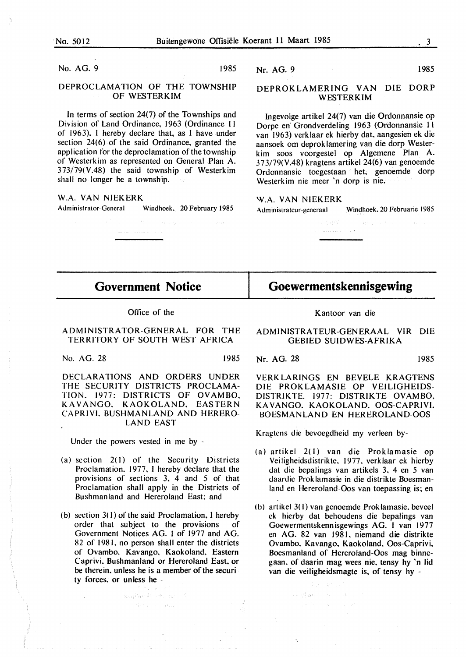No. AG. 9 1985

## DEPROCLAMATION OF THE TOWNSHIP OF WESTERKIM

In terms of section 24(7) of the Townships and Division of Land Ordinance, 1963 (Ordinance I I of 1963). I hereby declare that, as I have under section 24(6) of the said Ordinance. granted the application for the deproclamation of the township of Westerk im as represented on General Plan A. 373/79(V.48) the said township of Westerkim shall no longer be a township.

#### **W.A. VAN NIEKERK**

Administrator-General Windhoek, 20 February 1985

## Nr. AG. 9 1985

## **DEPROKLAMERING VAN** DIE **DORP WESTERKIM**

lngevolge artikel 24(7) van die Ordonnansie op Dorpe en· Grondverdeling 1963 (Ordonnansie 11 van 1963) verklaar ek hierby dat. aangesien ek die aansoek om deprok lamering van die dorp Westerk im soos voorgestel op Algemene Plan A. 373/79(V.48) kragtens artikel 24(6) van genoemde Ordonnansie toegestaan het. genoemde dorp Westerkim nie meer 'n dorp is nie.

**W.A. VAN NIEKERK** 

Administrateur-generaal Windhoek, 20 Februarie 1985

## **Government Notice**

## Office of the

ADMINISTRATOR-GENERAL FOR THE TERRITORY OF SOUTH WEST AFRICA

No. AG. 28 1985

**DECLARATIONS AND ORDERS UNDER**  THE **SECURITY DISTRICTS PROCLAMA-TION.** 1977: **DISTRICTS OF OVAMBO. KAVANGO. KAOKOLAND. EASTERN CAPRIVL BUSHMANLAND AND HERERO-**

**LAND EAST** 

Under the powers vested in me by -

- (a) section  $2(1)$  of the Security Districts
- Proclamation. 1977. I hereby declare that the provisions of sections 3. 4 and 5 of that Proclamation shall apply in the Districts of Bushmanland and Hereroland East; and
- (b) section  $3(1)$  of the said Proclamation. I hereby order that subject to the provisions of Government Notices AG. I of 1977 and AG. 82 of 1981, no person shall enter the districts of Ovambo. Kavango. Kaokoland. Eastern Caprivi. Bushmanland or Hereroland East. or be therein. unless he is a member of the security forces. or unless he -

 $\label{eq:3.1} \mathbb{E}_{\{x\in\mathcal{X}\}}\{f_{\mathcal{A}}(x)\in\mathcal{U}\}\subset\mathcal{A}(0)=\mathcal{A}_{\mathcal{A}}(x)=\mathcal{A}.$ 

#### Kantoor van die

**Goewermentskennisgewing** 

ADMINISTRATEUR-GENERAAL VIR DIE GEBIED SUIDWES-AFRIKA

Nr. AG. 28 1985

VERK LA RINGS EN BEVELE KRAGTENS DIE PROKLAMASIE OP VEILIGHEIDS-DISTRIKTE. 1977: DISTRIKTE OVAMBO. KA VANGO. KAOKOLAND. OOS-CAPRIVI. BOESMANLAND EN HEREROLAND-OOS

Kragtens die bevoegdheid my verleen by-

- (a) artikel 2( I) van die Proklamasie op Veiligheidsdistrikte. 1977. verklaar ek hierby dat die bepalings van artikels 3. 4 en 5 van daardie Prok lamasie in die distrikte Boesmanland en Hereroland-Oos van toepassing is; en
- (b) artikel 3( I) van genoemde Proklamasie. beveel ck hierby dat behoudens die bepalings van Goewermentskennisgewings AG. I van 1977 en AG. 82 van 1981. niemand die distrikte Ovambo. Kavango. Kaokoland. Oos-Caprivi. Boesmanland of Hereroland-Oos mag binnegaan. of daarin mag wees nie. tensy hy 'n lid van die veiligheidsmagte is. of tensy hy -

so glan to a country